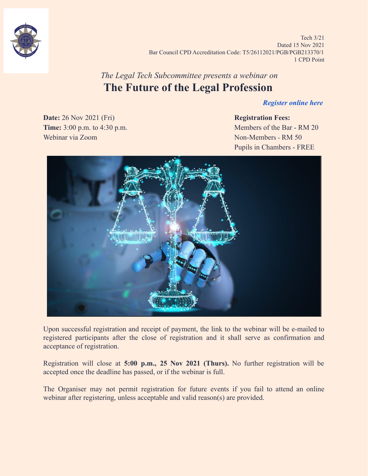

Tech 3/21 Dated 15 Nov 2021 Bar Council CPD Accreditation Code: T5/26112021/PGB/PGB213370/1 1 CPD Point

## *The Legal Tech Subcommittee presents a webinar on* **The Future of the Legal Profession**

#### *[Register online here](https://forms.gle/prASvBF2aQ3kkMbFA)*

**Date:** 26 Nov 2021 (Fri) **Registration Fees: Time:** 3:00 p.m. to 4:30 p.m. Webinar via Zoom Non-Members - RM 50

# Pupils in Chambers - FREE



Upon successful registration and receipt of payment, the link to the webinar will be e-mailed to registered participants after the close of registration and it shall serve as confirmation and acceptance of registration.

Registration will close at **5:00 p.m., 25 Nov 2021 (Thurs).** No further registration will be accepted once the deadline has passed, or if the webinar is full.

The Organiser may not permit registration for future events if you fail to attend an online webinar after registering, unless acceptable and valid reason(s) are provided.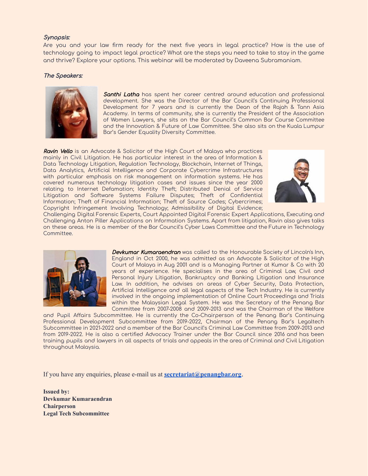#### Synopsis:

Are you and your law firm ready for the next five years in legal practice? How is the use of technology going to impact legal practice? What are the steps you need to take to stay in the game and thrive? Explore your options. This webinar will be moderated by Daveena Subramaniam.

#### The Speakers:



Santhi Latha has spent her career centred around education and professional development. She was the Director of the Bar Council's Continuing Professional Development for 7 years and is currently the Dean of the Rajah & Tann Asia Academy. In terms of community, she is currently the President of the Association of Women Lawyers, she sits on the Bar Council's Common Bar Course Committee and the Innovation & Future of Law Committee. She also sits on the Kuala Lumpur Bar's Gender Equality Diversity Committee.

Ravin Vello is an Advocate & Solicitor of the High Court of Malaya who practices mainly in Civil Litigation. He has particular interest in the area of Information & Data Technology Litigation, Regulation Technology, Blockchain, Internet of Things, Data Analytics, Artificial Intelligence and Corporate Cybercrime Infrastructures with particular emphasis on risk management on information systems. He has covered numerous technology litigation cases and issues since the year 2000 relating to Internet Defamation; Identity Theft; Distributed Denial of Service Litigation and Software Systems Failure Disputes; Theft of Confidential Information; Theft of Financial Information; Theft of Source Codes; Cybercrimes; Copyright Infringement Involving Technology; Admissibility of Digital Evidence;



Challenging Digital Forensic Experts, Court Appointed Digital Forensic Expert Applications, Executing and Challenging Anton Piller Applications on Information Systems. Apart from litigation, Ravin also gives talks on these areas. He is a member of the Bar Council's Cyber Laws Committee and the Future in Technology Committee.



Devkumar Kumaraendran was called to the Honourable Society of Lincoln's Inn, England in Oct 2000, he was admitted as an Advocate & Solicitor of the High Court of Malaya in Aug 2001 and is a Managing Partner at Kumar & Co with 20 years of experience. He specialises in the area of Criminal Law, Civil and Personal Injury Litigation, Bankruptcy and Banking Litigation and Insurance Law. In addition, he advises on areas of Cyber Security, Data Protection, Artificial Intelligence and all legal aspects of the Tech Industry. He is currently involved in the ongoing implementation of Online Court Proceedings and Trials within the Malaysian Legal System. He was the Secretary of the Penang Bar Committee from 2007-2008 and 2009-2013 and was the Chairman of the Welfare

and Pupil Affairs Subcommittee. He is currently the Co-Chairperson of the Penang Bar's Continuing Professional Development Subcommittee from 2019-2022, Chairman of the Penang Bar's Legaltech Subcommittee in 2021-2022 and a member of the Bar Council's Criminal Law Committee from 2009-2013 and from 2019-2022. He is also a certified Advocacy Trainer under the Bar Council since 2016 and has been training pupils and lawyers in all aspects of trials and appeals in the area of Criminal and Civil Litigation throughout Malaysia.

If you have any enquiries, please e-mail us at **[secretariat@penangbar.org](mailto:secretariat@penangbar.org)**.

**Issued by: Devkumar Kumaraendran Chairperson Legal Tech Subcommittee**